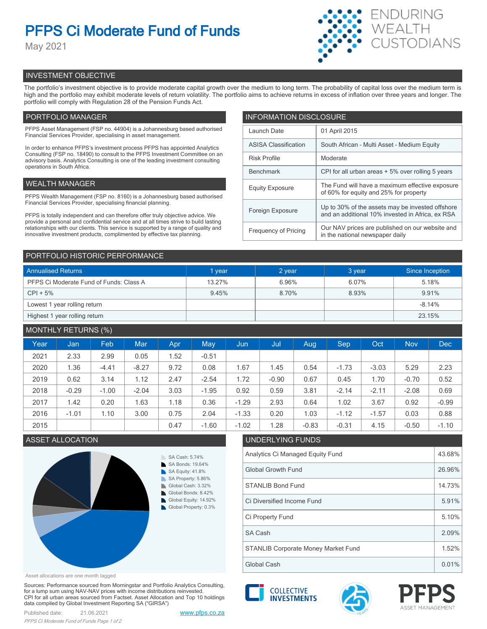# **PFPS Ci Moderate Fund of Funds**

May 2021



# INVESTMENT OBJECTIVE

The portfolio's investment objective is to provide moderate capital growth over the medium to long term. The probability of capital loss over the medium term is high and the portfolio may exhibit moderate levels of return volatility. The portfolio aims to achieve returns in excess of inflation over three years and longer. The portfolio will comply with Regulation 28 of the Pension Funds Act.

# PORTFOLIO MANAGER

PFPS Asset Management (FSP no. 44904) is a Johannesburg based authorised Financial Services Provider, specialising in asset management.

In order to enhance PFPS's investment process PFPS has appointed Analytics Consulting (FSP no. 18490) to consult to the PFPS Investment Committee on an advisory basis. Analytics Consulting is one of the leading investment consulting operations in South Africa.

# WEALTH MANAGER

PFPS Wealth Management (FSP no. 8160) is a Johannesburg based authorised Financial Services Provider, specialising financial planning.

PFPS is totally independent and can therefore offer truly objective advice. We provide a personal and confidential service and at all times strive to build lasting relationships with our clients. This service is supported by a range of quality and innovative investment products, complimented by effective tax planning.

| <b>INFORMATION DISCLOSURE</b> |                                                                                                      |  |  |  |  |
|-------------------------------|------------------------------------------------------------------------------------------------------|--|--|--|--|
| Launch Date                   | 01 April 2015                                                                                        |  |  |  |  |
| <b>ASISA Classification</b>   | South African - Multi Asset - Medium Equity                                                          |  |  |  |  |
| <b>Risk Profile</b>           | Moderate                                                                                             |  |  |  |  |
| <b>Benchmark</b>              | CPI for all urban areas + 5% over rolling 5 years                                                    |  |  |  |  |
| <b>Equity Exposure</b>        | The Fund will have a maximum effective exposure<br>of 60% for equity and 25% for property            |  |  |  |  |
| Foreign Exposure              | Up to 30% of the assets may be invested offshore<br>and an additional 10% invested in Africa, ex RSA |  |  |  |  |
| <b>Frequency of Pricing</b>   | Our NAV prices are published on our website and<br>in the national newspaper daily                   |  |  |  |  |

## PORTFOLIO HISTORIC PERFORMANCE

| <b>Annualised Returns</b>               | 1 year | 2 year | 3 year | Since Inception |  |
|-----------------------------------------|--------|--------|--------|-----------------|--|
| PFPS Ci Moderate Fund of Funds: Class A | 13.27% | 6.96%  | 6.07%  | 5.18%           |  |
| $CPI + 5%$                              | 9.45%  | 8.70%  | 8.93%  | 9.91%           |  |
| Lowest 1 year rolling return            |        |        |        | $-8.14%$        |  |
| Highest 1 year rolling return           |        |        |        | 23.15%          |  |

# MONTHLY RETURNS (%)

|      |         | $\sqrt{2}$ |            |      |         |         |         |         |            |         |            |            |
|------|---------|------------|------------|------|---------|---------|---------|---------|------------|---------|------------|------------|
| Year | Jan     | Feb        | <b>Mar</b> | Apr  | May     | Jun     | Jul     | Aug     | <b>Sep</b> | Oct     | <b>Nov</b> | <b>Dec</b> |
| 2021 | 2.33    | 2.99       | 0.05       | 1.52 | $-0.51$ |         |         |         |            |         |            |            |
| 2020 | 1.36    | $-4.41$    | $-8.27$    | 9.72 | 0.08    | .67     | 1.45    | 0.54    | $-1.73$    | $-3.03$ | 5.29       | 2.23       |
| 2019 | 0.62    | 3.14       | 1.12       | 2.47 | $-2.54$ | 1.72    | $-0.90$ | 0.67    | 0.45       | 1.70    | $-0.70$    | 0.52       |
| 2018 | $-0.29$ | $-1.00$    | $-2.04$    | 3.03 | $-1.95$ | 0.92    | 0.59    | 3.81    | $-2.14$    | $-2.11$ | $-2.08$    | 0.69       |
| 2017 | 1.42    | 0.20       | 1.63       | 1.18 | 0.36    | $-1.29$ | 2.93    | 0.64    | 1.02       | 3.67    | 0.92       | $-0.99$    |
| 2016 | $-1.01$ | 1.10       | 3.00       | 0.75 | 2.04    | $-1.33$ | 0.20    | 1.03    | $-1.12$    | $-1.57$ | 0.03       | 0.88       |
| 2015 |         |            |            | 0.47 | $-1.60$ | $-1.02$ | 1.28    | $-0.83$ | $-0.31$    | 4.15    | $-0.50$    | $-1.10$    |



#### Asset allocations are one month lagged

Sources: Performance sourced from Morningstar and Portfolio Analytics Consulting, for a lump sum using NAV-NAV prices with income distributions reinvested. CPI for all urban areas sourced from Factset. Asset Allocation and Top 10 holdings data compiled by Global Investment Reporting SA ("GIRSA")







Global Cash 0.01%